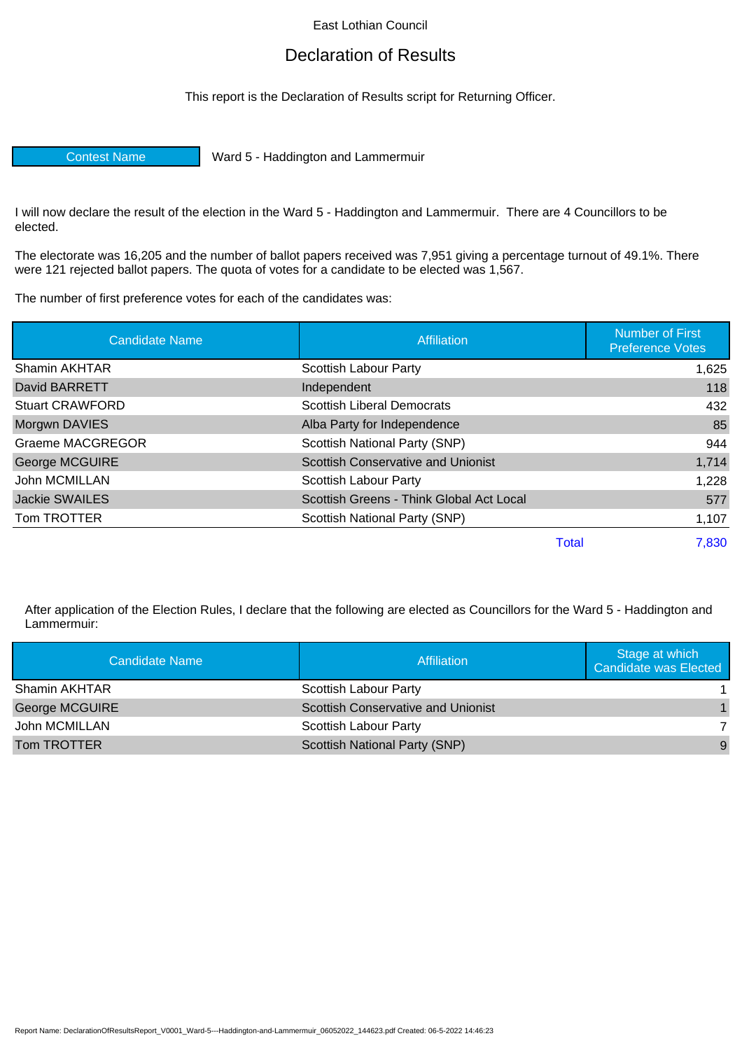East Lothian Council

## Declaration of Results

This report is the Declaration of Results script for Returning Officer.

Contest Name Ward 5 - Haddington and Lammermuir

I will now declare the result of the election in the Ward 5 - Haddington and Lammermuir. There are 4 Councillors to be elected.

The electorate was 16,205 and the number of ballot papers received was 7,951 giving a percentage turnout of 49.1%. There were 121 rejected ballot papers. The quota of votes for a candidate to be elected was 1,567.

The number of first preference votes for each of the candidates was:

| <b>Candidate Name</b>   | Affiliation                               | <b>Number of First</b><br><b>Preference Votes</b> |
|-------------------------|-------------------------------------------|---------------------------------------------------|
| Shamin AKHTAR           | Scottish Labour Party                     | 1,625                                             |
| David BARRETT           | Independent                               | 118                                               |
| <b>Stuart CRAWFORD</b>  | <b>Scottish Liberal Democrats</b>         | 432                                               |
| Morgwn DAVIES           | Alba Party for Independence               | 85                                                |
| <b>Graeme MACGREGOR</b> | Scottish National Party (SNP)             | 944                                               |
| <b>George MCGUIRE</b>   | <b>Scottish Conservative and Unionist</b> | 1,714                                             |
| John MCMILLAN           | Scottish Labour Party                     | 1,228                                             |
| <b>Jackie SWAILES</b>   | Scottish Greens - Think Global Act Local  | 577                                               |
| Tom TROTTER             | Scottish National Party (SNP)             | 1,107                                             |
|                         | <b>Total</b>                              | 7,830                                             |

After application of the Election Rules, I declare that the following are elected as Councillors for the Ward 5 - Haddington and Lammermuir:

| Candidate Name        | <b>Affiliation</b>                        | Stage at which<br><b>Candidate was Elected</b> |
|-----------------------|-------------------------------------------|------------------------------------------------|
| Shamin AKHTAR         | <b>Scottish Labour Party</b>              |                                                |
| <b>George MCGUIRE</b> | <b>Scottish Conservative and Unionist</b> |                                                |
| John MCMILLAN         | <b>Scottish Labour Party</b>              |                                                |
| Tom TROTTER           | Scottish National Party (SNP)             | 9                                              |